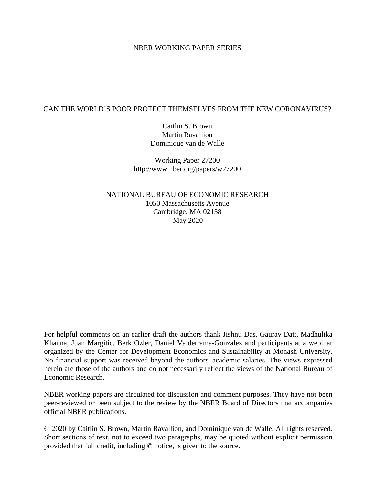#### NBER WORKING PAPER SERIES

#### CAN THE WORLD'S POOR PROTECT THEMSELVES FROM THE NEW CORONAVIRUS?

Caitlin S. Brown Martin Ravallion Dominique van de Walle

Working Paper 27200 http://www.nber.org/papers/w27200

NATIONAL BUREAU OF ECONOMIC RESEARCH 1050 Massachusetts Avenue Cambridge, MA 02138 May 2020

For helpful comments on an earlier draft the authors thank Jishnu Das, Gaurav Datt, Madhulika Khanna, Juan Margitic, Berk Ozler, Daniel Valderrama-Gonzalez and participants at a webinar organized by the Center for Development Economics and Sustainability at Monash University. No financial support was received beyond the authors' academic salaries. The views expressed herein are those of the authors and do not necessarily reflect the views of the National Bureau of Economic Research.

NBER working papers are circulated for discussion and comment purposes. They have not been peer-reviewed or been subject to the review by the NBER Board of Directors that accompanies official NBER publications.

© 2020 by Caitlin S. Brown, Martin Ravallion, and Dominique van de Walle. All rights reserved. Short sections of text, not to exceed two paragraphs, may be quoted without explicit permission provided that full credit, including © notice, is given to the source.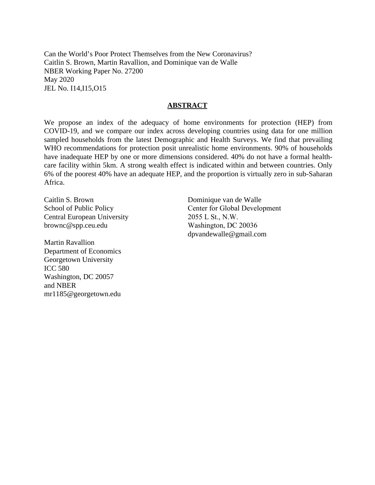Can the World's Poor Protect Themselves from the New Coronavirus? Caitlin S. Brown, Martin Ravallion, and Dominique van de Walle NBER Working Paper No. 27200 May 2020 JEL No. I14,I15,O15

#### **ABSTRACT**

We propose an index of the adequacy of home environments for protection (HEP) from COVID-19, and we compare our index across developing countries using data for one million sampled households from the latest Demographic and Health Surveys. We find that prevailing WHO recommendations for protection posit unrealistic home environments. 90% of households have inadequate HEP by one or more dimensions considered. 40% do not have a formal healthcare facility within 5km. A strong wealth effect is indicated within and between countries. Only 6% of the poorest 40% have an adequate HEP, and the proportion is virtually zero in sub-Saharan Africa.

Caitlin S. Brown School of Public Policy Central European University brownc@spp.ceu.edu

Martin Ravallion Department of Economics Georgetown University ICC 580 Washington, DC 20057 and NBER mr1185@georgetown.edu

Dominique van de Walle Center for Global Development 2055 L St., N.W. Washington, DC 20036 dpvandewalle@gmail.com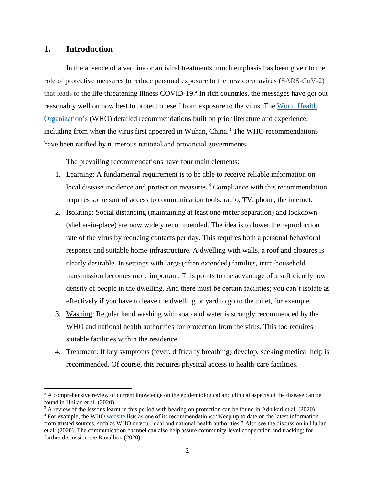## **1. Introduction**

 $\overline{\phantom{a}}$ 

In the absence of a vaccine or antiviral treatments, much emphasis has been given to the role of protective measures to reduce personal exposure to the new coronavirus (SARS-CoV-2) that leads to the life-threatening illness COVID-19. $^2$  In rich countries, the messages have got out reasonably well on how best to protect oneself from exposure to the virus. The [World Health](https://www.who.int/emergencies/diseases/novel-coronavirus-2019/advice-for-public)  [Organization'](https://www.who.int/emergencies/diseases/novel-coronavirus-2019/advice-for-public)s (WHO) detailed recommendations built on prior literature and experience, including from when the virus first appeared in Wuhan, China.<sup>3</sup> The WHO recommendations have been ratified by numerous national and provincial governments.

The prevailing recommendations have four main elements:

- 1. Learning: A fundamental requirement is to be able to receive reliable information on local disease incidence and protection measures.<sup>4</sup> Compliance with this recommendation requires some sort of access to communication tools: radio, TV, phone, the internet.
- 2. Isolating: Social distancing (maintaining at least one-meter separation) and lockdown (shelter-in-place) are now widely recommended. The idea is to lower the reproduction rate of the virus by reducing contacts per day. This requires both a personal behavioral response and suitable home-infrastructure. A dwelling with walls, a roof and closures is clearly desirable. In settings with large (often extended) families, intra-household transmission becomes more important. This points to the advantage of a sufficiently low density of people in the dwelling. And there must be certain facilities; you can't isolate as effectively if you have to leave the dwelling or yard to go to the toilet, for example.
- 3. Washing: Regular hand washing with soap and water is strongly recommended by the WHO and national health authorities for protection from the virus. This too requires suitable facilities within the residence.
- 4. Treatment: If key symptoms (fever, difficulty breathing) develop, seeking medical help is recommended. Of course, this requires physical access to health-care facilities.

<sup>&</sup>lt;sup>2</sup> A comprehensive review of current knowledge on the epidemiological and clinical aspects of the disease can be found in Huilan et al. (2020).

<sup>&</sup>lt;sup>3</sup> A review of the lessons learnt in this period with bearing on protection can be found in Adhikari et al. (2020).

<sup>&</sup>lt;sup>4</sup> For example, the WHO [website](https://www.who.int/emergencies/diseases/novel-coronavirus-2019/advice-for-public) lists as one of its recommendations: "Keep up to date on the latest information from trusted sources, such as WHO or your local and national health authorities." Also see the discussion in Huilan et al. (2020). The communication channel can also help assure community-level cooperation and tracking; for further discussion see Ravallion (2020).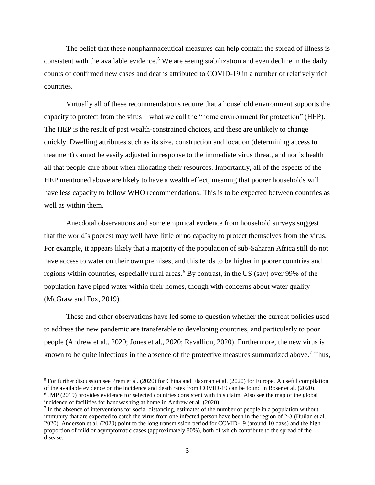The belief that these nonpharmaceutical measures can help contain the spread of illness is consistent with the available evidence.<sup>5</sup> We are seeing stabilization and even decline in the daily counts of confirmed new cases and deaths attributed to COVID-19 in a number of relatively rich countries.

Virtually all of these recommendations require that a household environment supports the capacity to protect from the virus—what we call the "home environment for protection" (HEP). The HEP is the result of past wealth-constrained choices, and these are unlikely to change quickly. Dwelling attributes such as its size, construction and location (determining access to treatment) cannot be easily adjusted in response to the immediate virus threat, and nor is health all that people care about when allocating their resources. Importantly, all of the aspects of the HEP mentioned above are likely to have a wealth effect, meaning that poorer households will have less capacity to follow WHO recommendations. This is to be expected between countries as well as within them.

Anecdotal observations and some empirical evidence from household surveys suggest that the world's poorest may well have little or no capacity to protect themselves from the virus. For example, it appears likely that a majority of the population of sub-Saharan Africa still do not have access to water on their own premises, and this tends to be higher in poorer countries and regions within countries, especially rural areas.<sup>6</sup> By contrast, in the US (say) over 99% of the population have piped water within their homes, though with concerns about water quality (McGraw and Fox, 2019).

These and other observations have led some to question whether the current policies used to address the new pandemic are transferable to developing countries, and particularly to poor people (Andrew et al., 2020; Jones et al., 2020; Ravallion, 2020). Furthermore, the new virus is known to be quite infectious in the absence of the protective measures summarized above.<sup>7</sup> Thus,

<sup>5</sup> For further discussion see Prem et al. (2020) for China and Flaxman et al. (2020) for Europe. A useful compilation of the available evidence on the incidence and death rates from COVID-19 can be found in Roser et al. (2020). <sup>6</sup> JMP (2019) provides evidence for selected countries consistent with this claim. Also see the map of the global incidence of facilities for handwashing at home in Andrew et al. (2020).

 $<sup>7</sup>$  In the absence of interventions for social distancing, estimates of the number of people in a population without</sup> immunity that are expected to catch the virus from one infected person have been in the region of 2-3 (Huilan et al. 2020). Anderson et al. (2020) point to the long transmission period for COVID-19 (around 10 days) and the high proportion of mild or asymptomatic cases (approximately 80%), both of which contribute to the spread of the disease.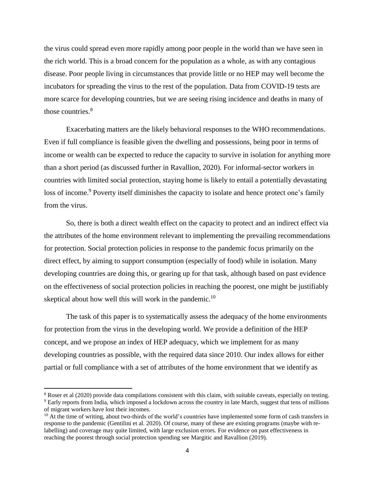the virus could spread even more rapidly among poor people in the world than we have seen in the rich world. This is a broad concern for the population as a whole, as with any contagious disease. Poor people living in circumstances that provide little or no HEP may well become the incubators for spreading the virus to the rest of the population. Data from COVID-19 tests are more scarce for developing countries, but we are seeing rising incidence and deaths in many of those countries.<sup>8</sup>

Exacerbating matters are the likely behavioral responses to the WHO recommendations. Even if full compliance is feasible given the dwelling and possessions, being poor in terms of income or wealth can be expected to reduce the capacity to survive in isolation for anything more than a short period (as discussed further in Ravallion, 2020). For informal-sector workers in countries with limited social protection, staying home is likely to entail a potentially devastating loss of income.<sup>9</sup> Poverty itself diminishes the capacity to isolate and hence protect one's family from the virus.

So, there is both a direct wealth effect on the capacity to protect and an indirect effect via the attributes of the home environment relevant to implementing the prevailing recommendations for protection. Social protection policies in response to the pandemic focus primarily on the direct effect, by aiming to support consumption (especially of food) while in isolation. Many developing countries are doing this, or gearing up for that task, although based on past evidence on the effectiveness of social protection policies in reaching the poorest, one might be justifiably skeptical about how well this will work in the pandemic.<sup>10</sup>

The task of this paper is to systematically assess the adequacy of the home environments for protection from the virus in the developing world. We provide a definition of the HEP concept, and we propose an index of HEP adequacy, which we implement for as many developing countries as possible, with the required data since 2010. Our index allows for either partial or full compliance with a set of attributes of the home environment that we identify as

<sup>8</sup> Roser et al (2020) provide data compilations consistent with this claim, with suitable caveats, especially on testing. <sup>9</sup> Early reports from India, which imposed a lockdown across the country in late March, suggest that tens of millions of migrant workers have lost their incomes.

 $10$  At the time of writing, about two-thirds of the world's countries have implemented some form of cash transfers in response to the pandemic (Gentilini et al. 2020). Of course, many of these are existing programs (maybe with relabelling) and coverage may quite limited, with large exclusion errors. For evidence on past effectiveness in reaching the poorest through social protection spending see Margitic and Ravallion (2019).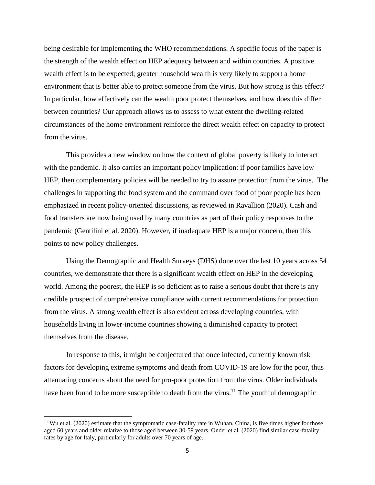being desirable for implementing the WHO recommendations. A specific focus of the paper is the strength of the wealth effect on HEP adequacy between and within countries. A positive wealth effect is to be expected; greater household wealth is very likely to support a home environment that is better able to protect someone from the virus. But how strong is this effect? In particular, how effectively can the wealth poor protect themselves, and how does this differ between countries? Our approach allows us to assess to what extent the dwelling-related circumstances of the home environment reinforce the direct wealth effect on capacity to protect from the virus.

This provides a new window on how the context of global poverty is likely to interact with the pandemic. It also carries an important policy implication: if poor families have low HEP, then complementary policies will be needed to try to assure protection from the virus. The challenges in supporting the food system and the command over food of poor people has been emphasized in recent policy-oriented discussions, as reviewed in Ravallion (2020). Cash and food transfers are now being used by many countries as part of their policy responses to the pandemic (Gentilini et al. 2020). However, if inadequate HEP is a major concern, then this points to new policy challenges.

Using the Demographic and Health Surveys (DHS) done over the last 10 years across 54 countries, we demonstrate that there is a significant wealth effect on HEP in the developing world. Among the poorest, the HEP is so deficient as to raise a serious doubt that there is any credible prospect of comprehensive compliance with current recommendations for protection from the virus. A strong wealth effect is also evident across developing countries, with households living in lower-income countries showing a diminished capacity to protect themselves from the disease.

In response to this, it might be conjectured that once infected, currently known risk factors for developing extreme symptoms and death from COVID-19 are low for the poor, thus attenuating concerns about the need for pro-poor protection from the virus. Older individuals have been found to be more susceptible to death from the virus.<sup>11</sup> The youthful demographic

 $11$  Wu et al. (2020) estimate that the symptomatic case-fatality rate in Wuhan, China, is five times higher for those aged 60 years and older relative to those aged between 30-59 years. Onder et al. (2020) find similar case-fatality rates by age for Italy, particularly for adults over 70 years of age.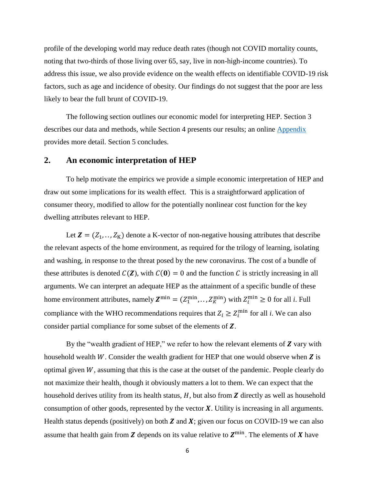profile of the developing world may reduce death rates (though not COVID mortality counts, noting that two-thirds of those living over 65, say, live in non-high-income countries). To address this issue, we also provide evidence on the wealth effects on identifiable COVID-19 risk factors, such as age and incidence of obesity. Our findings do not suggest that the poor are less likely to bear the full brunt of COVID-19.

The following section outlines our economic model for interpreting HEP. Section 3 describes our data and methods, while Section 4 presents our results; an online [Appendix](https://drive.google.com/open?id=12dZz2Cbt9qjExm_VZFWUnbKI8cyhs5vp) provides more detail. Section 5 concludes.

#### **2. An economic interpretation of HEP**

To help motivate the empirics we provide a simple economic interpretation of HEP and draw out some implications for its wealth effect. This is a straightforward application of consumer theory, modified to allow for the potentially nonlinear cost function for the key dwelling attributes relevant to HEP.

Let  $Z = (Z_1, ..., Z_K)$  denote a K-vector of non-negative housing attributes that describe the relevant aspects of the home environment, as required for the trilogy of learning, isolating and washing, in response to the threat posed by the new coronavirus. The cost of a bundle of these attributes is denoted  $C(\mathbf{Z})$ , with  $C(\mathbf{0}) = 0$  and the function C is strictly increasing in all arguments. We can interpret an adequate HEP as the attainment of a specific bundle of these home environment attributes, namely  $\mathbf{Z}^{\min} = (Z_1^{\min}, \dots, Z_K^{\min})$  with  $Z_i^{\min} \geq 0$  for all *i*. Full compliance with the WHO recommendations requires that  $Z_i \geq Z_i^{\min}$  for all *i*. We can also consider partial compliance for some subset of the elements of  $Z$ .

By the "wealth gradient of HEP," we refer to how the relevant elements of  $Z$  vary with household wealth  $W$ . Consider the wealth gradient for HEP that one would observe when  $\boldsymbol{Z}$  is optimal given  $W$ , assuming that this is the case at the outset of the pandemic. People clearly do not maximize their health, though it obviously matters a lot to them. We can expect that the household derives utility from its health status,  $H$ , but also from  $Z$  directly as well as household consumption of other goods, represented by the vector  $X$ . Utility is increasing in all arguments. Health status depends (positively) on both  $Z$  and  $X$ ; given our focus on COVID-19 we can also assume that health gain from Z depends on its value relative to  $Z^{\min}$ . The elements of X have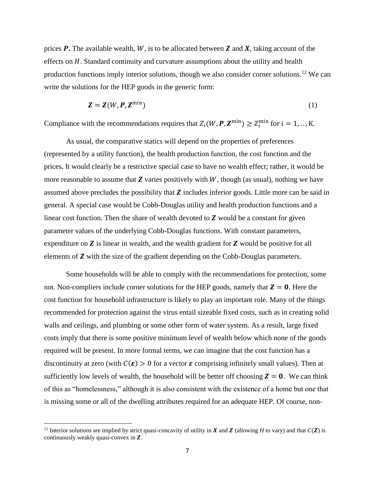prices  $\bm{P}$ . The available wealth,  $W$ , is to be allocated between  $\bm{Z}$  and  $\bm{X}$ , taking account of the effects on  $H$ . Standard continuity and curvature assumptions about the utility and health production functions imply interior solutions, though we also consider corner solutions.<sup>12</sup> We can write the solutions for the HEP goods in the generic form:

$$
Z = Z(W, P, Z^{\min})
$$
 (1)

Compliance with the recommendations requires that  $Z_i(W, P, Z^{\min}) \ge Z_i^{\min}$  for  $i = 1, ..., K$ .

As usual, the comparative statics will depend on the properties of preferences (represented by a utility function), the health production function, the cost function and the prices**.** It would clearly be a restrictive special case to have no wealth effect; rather, it would be more reasonable to assume that  $Z$  varies positively with  $W$ , though (as usual), nothing we have assumed above precludes the possibility that  $Z$  includes inferior goods. Little more can be said in general. A special case would be Cobb-Douglas utility and health production functions and a linear cost function. Then the share of wealth devoted to  $Z$  would be a constant for given parameter values of the underlying Cobb-Douglas functions. With constant parameters, expenditure on  $\boldsymbol{Z}$  is linear in wealth, and the wealth gradient for  $\boldsymbol{Z}$  would be positive for all elements of  $Z$  with the size of the gradient depending on the Cobb-Douglas parameters.

Some households will be able to comply with the recommendations for protection, some not. Non-compliers include corner solutions for the HEP goods, namely that  $Z = 0$ . Here the cost function for household infrastructure is likely to play an important role. Many of the things recommended for protection against the virus entail sizeable fixed costs, such as in creating solid walls and ceilings, and plumbing or some other form of water system. As a result, large fixed costs imply that there is some positive minimum level of wealth below which none of the goods required will be present. In more formal terms, we can imagine that the cost function has a discontinuity at zero (with  $C(\varepsilon) > 0$  for a vector  $\varepsilon$  comprising infinitely small values). Then at sufficiently low levels of wealth, the household will be better off choosing  $Z = 0$ . We can think of this as "homelessness," although it is also consistent with the existence of a home but one that is missing some or all of the dwelling attributes required for an adequate HEP. Of course, non-

 $\overline{a}$ 

<sup>&</sup>lt;sup>12</sup> Interior solutions are implied by strict quasi-concavity of utility in **X** and **Z** (allowing *H* to vary) and that  $C(Z)$  is continuously weakly quasi-convex in  $Z$ .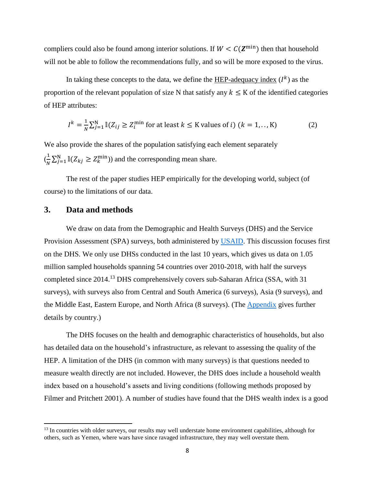compliers could also be found among interior solutions. If  $W < C(\mathbf{Z}^{\min})$  then that household will not be able to follow the recommendations fully, and so will be more exposed to the virus.

In taking these concepts to the data, we define the  $HEP$ -adequacy index  $(I^k)$  as the proportion of the relevant population of size N that satisfy any  $k \leq K$  of the identified categories of HEP attributes:

$$
I^{k} = \frac{1}{N} \sum_{j=1}^{N} \mathbb{I}(Z_{ij} \ge Z_{i}^{\min} \text{ for at least } k \le K \text{ values of } i) \ (k = 1, \dots, K)
$$
 (2)

We also provide the shares of the population satisfying each element separately  $\left(\frac{1}{\sqrt{2}}\right)$  $\frac{1}{N} \sum_{j=1}^{N} \mathbb{I}(Z_{kj} \geq Z_k^{\min})$  and the corresponding mean share.

The rest of the paper studies HEP empirically for the developing world, subject (of course) to the limitations of our data.

# **3. Data and methods**

 $\overline{a}$ 

We draw on data from the Demographic and Health Surveys (DHS) and the Service Provision Assessment (SPA) surveys, both administered by [USAID.](https://dhsprogram.com/Who-We-Are/About-Us.cfm) This discussion focuses first on the DHS. We only use DHSs conducted in the last 10 years, which gives us data on 1.05 million sampled households spanning 54 countries over 2010-2018, with half the surveys completed since 2014.<sup>13</sup> DHS comprehensively covers sub-Saharan Africa (SSA, with 31 surveys), with surveys also from Central and South America (6 surveys), Asia (9 surveys), and the Middle East, Eastern Europe, and North Africa (8 surveys). (The [Appendix](https://drive.google.com/open?id=12dZz2Cbt9qjExm_VZFWUnbKI8cyhs5vp) gives further details by country.)

The DHS focuses on the health and demographic characteristics of households, but also has detailed data on the household's infrastructure, as relevant to assessing the quality of the HEP. A limitation of the DHS (in common with many surveys) is that questions needed to measure wealth directly are not included. However, the DHS does include a household wealth index based on a household's assets and living conditions (following methods proposed by Filmer and Pritchett 2001). A number of studies have found that the DHS wealth index is a good

<sup>&</sup>lt;sup>13</sup> In countries with older surveys, our results may well understate home environment capabilities, although for others, such as Yemen, where wars have since ravaged infrastructure, they may well overstate them.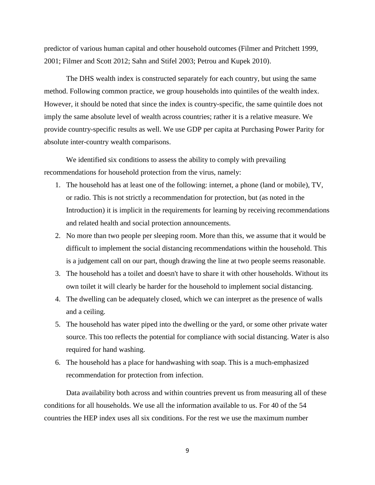predictor of various human capital and other household outcomes (Filmer and Pritchett 1999, 2001; Filmer and Scott 2012; Sahn and Stifel 2003; Petrou and Kupek 2010).

The DHS wealth index is constructed separately for each country, but using the same method. Following common practice, we group households into quintiles of the wealth index. However, it should be noted that since the index is country-specific, the same quintile does not imply the same absolute level of wealth across countries; rather it is a relative measure. We provide country-specific results as well. We use GDP per capita at Purchasing Power Parity for absolute inter-country wealth comparisons.

We identified six conditions to assess the ability to comply with prevailing recommendations for household protection from the virus, namely:

- 1. The household has at least one of the following: internet, a phone (land or mobile), TV, or radio. This is not strictly a recommendation for protection, but (as noted in the Introduction) it is implicit in the requirements for learning by receiving recommendations and related health and social protection announcements.
- 2. No more than two people per sleeping room. More than this, we assume that it would be difficult to implement the social distancing recommendations within the household. This is a judgement call on our part, though drawing the line at two people seems reasonable.
- 3. The household has a toilet and doesn't have to share it with other households. Without its own toilet it will clearly be harder for the household to implement social distancing.
- 4. The dwelling can be adequately closed, which we can interpret as the presence of walls and a ceiling.
- 5. The household has water piped into the dwelling or the yard, or some other private water source. This too reflects the potential for compliance with social distancing. Water is also required for hand washing.
- 6. The household has a place for handwashing with soap. This is a much-emphasized recommendation for protection from infection.

Data availability both across and within countries prevent us from measuring all of these conditions for all households. We use all the information available to us. For 40 of the 54 countries the HEP index uses all six conditions. For the rest we use the maximum number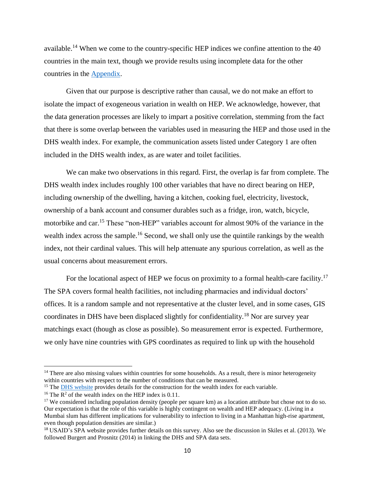available.<sup>14</sup> When we come to the country-specific HEP indices we confine attention to the 40 countries in the main text, though we provide results using incomplete data for the other countries in the [Appendix.](https://drive.google.com/open?id=12dZz2Cbt9qjExm_VZFWUnbKI8cyhs5vp)

Given that our purpose is descriptive rather than causal, we do not make an effort to isolate the impact of exogeneous variation in wealth on HEP. We acknowledge, however, that the data generation processes are likely to impart a positive correlation, stemming from the fact that there is some overlap between the variables used in measuring the HEP and those used in the DHS wealth index. For example, the communication assets listed under Category 1 are often included in the DHS wealth index, as are water and toilet facilities.

We can make two observations in this regard. First, the overlap is far from complete. The DHS wealth index includes roughly 100 other variables that have no direct bearing on HEP, including ownership of the dwelling, having a kitchen, cooking fuel, electricity, livestock, ownership of a bank account and consumer durables such as a fridge, iron, watch, bicycle, motorbike and car.<sup>15</sup> These "non-HEP" variables account for almost 90% of the variance in the wealth index across the sample.<sup>16</sup> Second, we shall only use the quintile rankings by the wealth index, not their cardinal values. This will help attenuate any spurious correlation, as well as the usual concerns about measurement errors.

For the locational aspect of HEP we focus on proximity to a formal health-care facility.<sup>17</sup> The SPA covers formal health facilities, not including pharmacies and individual doctors' offices. It is a random sample and not representative at the cluster level, and in some cases, GIS coordinates in DHS have been displaced slightly for confidentiality.<sup>18</sup> Nor are survey year matchings exact (though as close as possible). So measurement error is expected. Furthermore, we only have nine countries with GPS coordinates as required to link up with the household

 $<sup>14</sup>$  There are also missing values within countries for some households. As a result, there is minor heterogeneity</sup> within countries with respect to the number of conditions that can be measured.

<sup>&</sup>lt;sup>15</sup> The <u>DHS website</u> provides details for the construction for the wealth index for each variable.

<sup>&</sup>lt;sup>16</sup> The  $\mathbb{R}^2$  of the wealth index on the HEP index is 0.11.

<sup>&</sup>lt;sup>17</sup> We considered including population density (people per square km) as a location attribute but chose not to do so. Our expectation is that the role of this variable is highly contingent on wealth and HEP adequacy. (Living in a Mumbai slum has different implications for vulnerability to infection to living in a Manhattan high-rise apartment, even though population densities are similar.)

<sup>18</sup> USAID's [SPA website](https://dhsprogram.com/What-We-Do/Survey-Types/SPA.cfm) provides further details on this survey. Also see the discussion in Skiles et al. (2013). We followed Burgert and Prosnitz (2014) in linking the DHS and SPA data sets.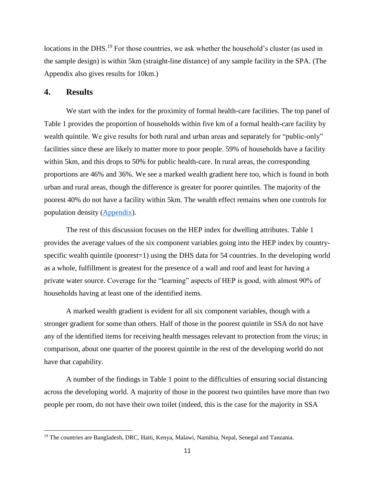locations in the DHS.<sup>19</sup> For those countries, we ask whether the household's cluster (as used in the sample design) is within 5km (straight-line distance) of any sample facility in the SPA. (The Appendix also gives results for 10km.)

# **4. Results**

 $\overline{\phantom{a}}$ 

We start with the index for the proximity of formal health-care facilities. The top panel of Table 1 provides the proportion of households within five km of a formal health-care facility by wealth quintile. We give results for both rural and urban areas and separately for "public-only" facilities since these are likely to matter more to poor people. 59% of households have a facility within 5km, and this drops to 50% for public health-care. In rural areas, the corresponding proportions are 46% and 36%. We see a marked wealth gradient here too, which is found in both urban and rural areas, though the difference is greater for poorer quintiles. The majority of the poorest 40% do not have a facility within 5km. The wealth effect remains when one controls for population density [\(Appendix\)](https://drive.google.com/open?id=12dZz2Cbt9qjExm_VZFWUnbKI8cyhs5vp).

The rest of this discussion focuses on the HEP index for dwelling attributes. Table 1 provides the average values of the six component variables going into the HEP index by countryspecific wealth quintile (poorest=1) using the DHS data for 54 countries. In the developing world as a whole, fulfillment is greatest for the presence of a wall and roof and least for having a private water source. Coverage for the "learning" aspects of HEP is good, with almost 90% of households having at least one of the identified items.

A marked wealth gradient is evident for all six component variables, though with a stronger gradient for some than others. Half of those in the poorest quintile in SSA do not have any of the identified items for receiving health messages relevant to protection from the virus; in comparison, about one quarter of the poorest quintile in the rest of the developing world do not have that capability.

A number of the findings in Table 1 point to the difficulties of ensuring social distancing across the developing world. A majority of those in the poorest two quintiles have more than two people per room, do not have their own toilet (indeed, this is the case for the majority in SSA

<sup>&</sup>lt;sup>19</sup> The countries are Bangladesh, DRC, Haiti, Kenya, Malawi, Namibia, Nepal, Senegal and Tanzania.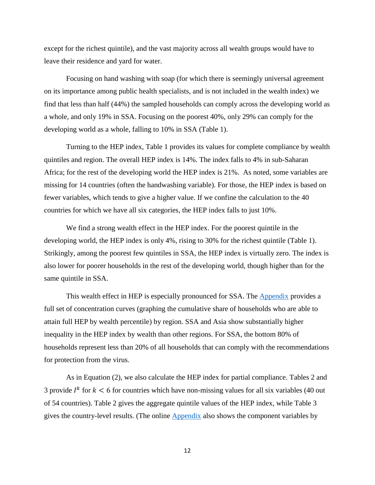except for the richest quintile), and the vast majority across all wealth groups would have to leave their residence and yard for water.

Focusing on hand washing with soap (for which there is seemingly universal agreement on its importance among public health specialists, and is not included in the wealth index) we find that less than half (44%) the sampled households can comply across the developing world as a whole, and only 19% in SSA. Focusing on the poorest 40%, only 29% can comply for the developing world as a whole, falling to 10% in SSA (Table 1).

Turning to the HEP index, Table 1 provides its values for complete compliance by wealth quintiles and region. The overall HEP index is 14%. The index falls to 4% in sub-Saharan Africa; for the rest of the developing world the HEP index is 21%. As noted, some variables are missing for 14 countries (often the handwashing variable). For those, the HEP index is based on fewer variables, which tends to give a higher value. If we confine the calculation to the 40 countries for which we have all six categories, the HEP index falls to just 10%.

We find a strong wealth effect in the HEP index. For the poorest quintile in the developing world, the HEP index is only 4%, rising to 30% for the richest quintile (Table 1). Strikingly, among the poorest few quintiles in SSA, the HEP index is virtually zero. The index is also lower for poorer households in the rest of the developing world, though higher than for the same quintile in SSA.

This wealth effect in HEP is especially pronounced for SSA. The **Appendix** provides a full set of concentration curves (graphing the cumulative share of households who are able to attain full HEP by wealth percentile) by region. SSA and Asia show substantially higher inequality in the HEP index by wealth than other regions. For SSA, the bottom 80% of households represent less than 20% of all households that can comply with the recommendations for protection from the virus.

As in Equation (2), we also calculate the HEP index for partial compliance. Tables 2 and 3 provide  $I^k$  for  $k < 6$  for countries which have non-missing values for all six variables (40 out of 54 countries). Table 2 gives the aggregate quintile values of the HEP index, while Table 3 gives the country-level results. (The online [Appendix](https://drive.google.com/open?id=12dZz2Cbt9qjExm_VZFWUnbKI8cyhs5vp) also shows the component variables by

12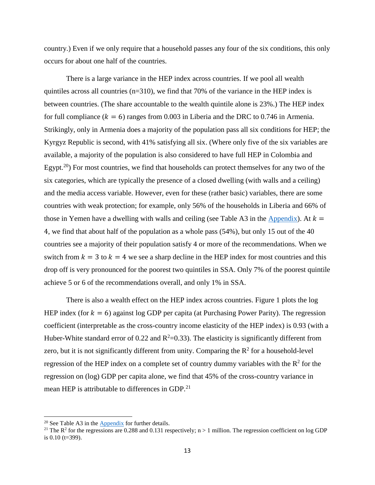country.) Even if we only require that a household passes any four of the six conditions, this only occurs for about one half of the countries.

There is a large variance in the HEP index across countries. If we pool all wealth quintiles across all countries (n=310), we find that 70% of the variance in the HEP index is between countries. (The share accountable to the wealth quintile alone is 23%.) The HEP index for full compliance ( $k = 6$ ) ranges from 0.003 in Liberia and the DRC to 0.746 in Armenia. Strikingly, only in Armenia does a majority of the population pass all six conditions for HEP; the Kyrgyz Republic is second, with 41% satisfying all six. (Where only five of the six variables are available, a majority of the population is also considered to have full HEP in Colombia and Egypt.<sup>20</sup>) For most countries, we find that households can protect themselves for any two of the six categories, which are typically the presence of a closed dwelling (with walls and a ceiling) and the media access variable. However, even for these (rather basic) variables, there are some countries with weak protection; for example, only 56% of the households in Liberia and 66% of those in Yemen have a dwelling with walls and ceiling (see Table A3 in the  $\Delta$ ppendix). At  $k =$ 4, we find that about half of the population as a whole pass (54%), but only 15 out of the 40 countries see a majority of their population satisfy 4 or more of the recommendations. When we switch from  $k = 3$  to  $k = 4$  we see a sharp decline in the HEP index for most countries and this drop off is very pronounced for the poorest two quintiles in SSA. Only 7% of the poorest quintile achieve 5 or 6 of the recommendations overall, and only 1% in SSA.

There is also a wealth effect on the HEP index across countries. Figure 1 plots the log HEP index (for  $k = 6$ ) against log GDP per capita (at Purchasing Power Parity). The regression coefficient (interpretable as the cross-country income elasticity of the HEP index) is 0.93 (with a Huber-White standard error of 0.22 and  $R^2$ =0.33). The elasticity is significantly different from zero, but it is not significantly different from unity. Comparing the  $\mathbb{R}^2$  for a household-level regression of the HEP index on a complete set of country dummy variables with the  $R^2$  for the regression on (log) GDP per capita alone, we find that 45% of the cross-country variance in mean HEP is attributable to differences in GDP.<sup>21</sup>

<sup>20</sup> See Table A3 in the [Appendix](https://drive.google.com/open?id=12dZz2Cbt9qjExm_VZFWUnbKI8cyhs5vp) for further details.

<sup>&</sup>lt;sup>21</sup> The  $\mathbb{R}^2$  for the regressions are 0.288 and 0.131 respectively; n > 1 million. The regression coefficient on log GDP is 0.10 (t=399).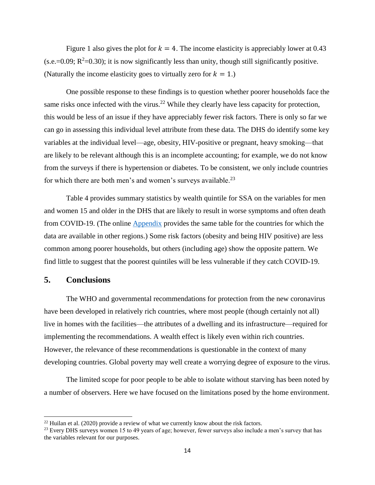Figure 1 also gives the plot for  $k = 4$ . The income elasticity is appreciably lower at 0.43  $(s.e.=0.09; R^2=0.30)$ ; it is now significantly less than unity, though still significantly positive. (Naturally the income elasticity goes to virtually zero for  $k = 1$ .)

One possible response to these findings is to question whether poorer households face the same risks once infected with the virus.<sup>22</sup> While they clearly have less capacity for protection, this would be less of an issue if they have appreciably fewer risk factors. There is only so far we can go in assessing this individual level attribute from these data. The DHS do identify some key variables at the individual level—age, obesity, HIV-positive or pregnant, heavy smoking—that are likely to be relevant although this is an incomplete accounting; for example, we do not know from the surveys if there is hypertension or diabetes. To be consistent, we only include countries for which there are both men's and women's surveys available.<sup>23</sup>

Table 4 provides summary statistics by wealth quintile for SSA on the variables for men and women 15 and older in the DHS that are likely to result in worse symptoms and often death from COVID-19. (The online [Appendix](https://drive.google.com/open?id=12dZz2Cbt9qjExm_VZFWUnbKI8cyhs5vp) provides the same table for the countries for which the data are available in other regions.) Some risk factors (obesity and being HIV positive) are less common among poorer households, but others (including age) show the opposite pattern. We find little to suggest that the poorest quintiles will be less vulnerable if they catch COVID-19.

### **5. Conclusions**

 $\overline{\phantom{a}}$ 

The WHO and governmental recommendations for protection from the new coronavirus have been developed in relatively rich countries, where most people (though certainly not all) live in homes with the facilities—the attributes of a dwelling and its infrastructure—required for implementing the recommendations. A wealth effect is likely even within rich countries. However, the relevance of these recommendations is questionable in the context of many developing countries. Global poverty may well create a worrying degree of exposure to the virus.

The limited scope for poor people to be able to isolate without starving has been noted by a number of observers. Here we have focused on the limitations posed by the home environment.

 $22$  Huilan et al. (2020) provide a review of what we currently know about the risk factors.

<sup>&</sup>lt;sup>23</sup> Every DHS surveys women 15 to 49 years of age; however, fewer surveys also include a men's survey that has the variables relevant for our purposes.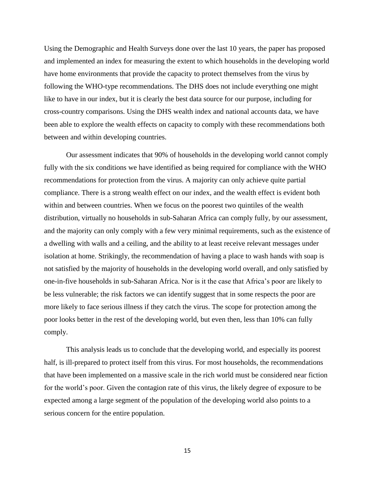Using the Demographic and Health Surveys done over the last 10 years, the paper has proposed and implemented an index for measuring the extent to which households in the developing world have home environments that provide the capacity to protect themselves from the virus by following the WHO-type recommendations. The DHS does not include everything one might like to have in our index, but it is clearly the best data source for our purpose, including for cross-country comparisons. Using the DHS wealth index and national accounts data, we have been able to explore the wealth effects on capacity to comply with these recommendations both between and within developing countries.

Our assessment indicates that 90% of households in the developing world cannot comply fully with the six conditions we have identified as being required for compliance with the WHO recommendations for protection from the virus. A majority can only achieve quite partial compliance. There is a strong wealth effect on our index, and the wealth effect is evident both within and between countries. When we focus on the poorest two quintiles of the wealth distribution, virtually no households in sub-Saharan Africa can comply fully, by our assessment, and the majority can only comply with a few very minimal requirements, such as the existence of a dwelling with walls and a ceiling, and the ability to at least receive relevant messages under isolation at home. Strikingly, the recommendation of having a place to wash hands with soap is not satisfied by the majority of households in the developing world overall, and only satisfied by one-in-five households in sub-Saharan Africa. Nor is it the case that Africa's poor are likely to be less vulnerable; the risk factors we can identify suggest that in some respects the poor are more likely to face serious illness if they catch the virus. The scope for protection among the poor looks better in the rest of the developing world, but even then, less than 10% can fully comply.

This analysis leads us to conclude that the developing world, and especially its poorest half, is ill-prepared to protect itself from this virus. For most households, the recommendations that have been implemented on a massive scale in the rich world must be considered near fiction for the world's poor. Given the contagion rate of this virus, the likely degree of exposure to be expected among a large segment of the population of the developing world also points to a serious concern for the entire population.

15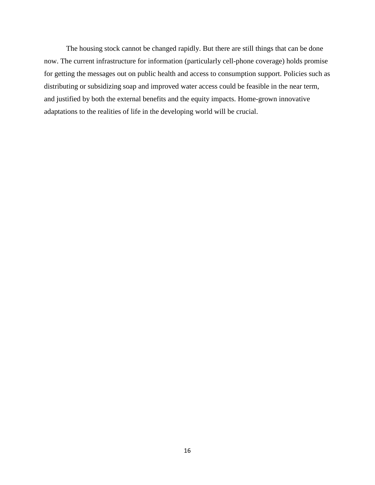The housing stock cannot be changed rapidly. But there are still things that can be done now. The current infrastructure for information (particularly cell-phone coverage) holds promise for getting the messages out on public health and access to consumption support. Policies such as distributing or subsidizing soap and improved water access could be feasible in the near term, and justified by both the external benefits and the equity impacts. Home-grown innovative adaptations to the realities of life in the developing world will be crucial.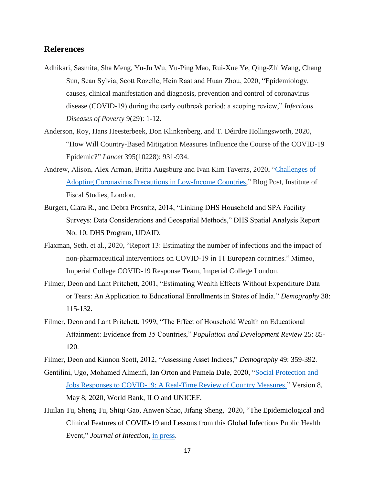### **References**

- Adhikari, Sasmita, Sha Meng, Yu-Ju Wu, Yu-Ping Mao, Rui-Xue Ye, Qing-Zhi Wang, Chang Sun, Sean Sylvia, Scott Rozelle, Hein Raat and Huan Zhou, 2020, "Epidemiology, causes, clinical manifestation and diagnosis, prevention and control of coronavirus disease (COVID-19) during the early outbreak period: a scoping review," *Infectious Diseases of Poverty* 9(29): 1-12.
- Anderson, Roy, Hans Heesterbeek, Don Klinkenberg, and T. Déirdre Hollingsworth, 2020, "How Will Country-Based Mitigation Measures Influence the Course of the COVID-19 Epidemic?" *Lancet* 395(10228): 931-934.
- Andrew, Alison, Alex Arman, Britta Augsburg and Ivan Kim Taveras, 2020, ["Challenges of](https://www.ifs.org.uk/publications/14779)  [Adopting Coronavirus Precautions in Low-Income Countries,](https://www.ifs.org.uk/publications/14779)" Blog Post, Institute of Fiscal Studies, London.
- Burgert, Clara R., and Debra Prosnitz, 2014, "Linking DHS Household and SPA Facility Surveys: Data Considerations and Geospatial Methods," DHS Spatial Analysis Report No. 10, DHS Program, UDAID.
- Flaxman, Seth. et al., 2020, "Report 13: Estimating the number of infections and the impact of non-pharmaceutical interventions on COVID-19 in 11 European countries." Mimeo, Imperial College COVID-19 Response Team, Imperial College London.
- Filmer, Deon and Lant Pritchett, 2001, "Estimating Wealth Effects Without Expenditure Data or Tears: An Application to Educational Enrollments in States of India." *Demography* 38: 115-132.
- Filmer, Deon and Lant Pritchett, 1999, "The Effect of Household Wealth on Educational Attainment: Evidence from 35 Countries," *Population and Development Review* 25: 85- 120.

Filmer, Deon and Kinnon Scott, 2012, "Assessing Asset Indices," *Demography* 49: 359-392.

- Gentilini, Ugo, Mohamed Almenfi, Ian Orton and Pamela Dale, 2020, ["Social Protection and](https://www.ugogentilini.net/wp-content/uploads/2020/05/Country-SP-COVID-responses_May8.pdf)  [Jobs Responses to COVID-19: A Real-Time Review of Country Measures."](https://www.ugogentilini.net/wp-content/uploads/2020/05/Country-SP-COVID-responses_May8.pdf) Version 8, May 8, 2020, World Bank, ILO and UNICEF.
- Huilan Tu, Sheng Tu, Shiqi Gao, Anwen Shao, Jifang Sheng, 2020, "The Epidemiological and Clinical Features of COVID-19 and Lessons from this Global Infectious Public Health Event," *Journal of Infection*, [in press.](https://reader.elsevier.com/reader/sd/pii/S016344532030222X?token=3F54DE1E6388FB75A1359B4570FD6D378CEEFAD1CB1329071B748447E7659218B78C95EF63B44AD310348CBC1C443B3F)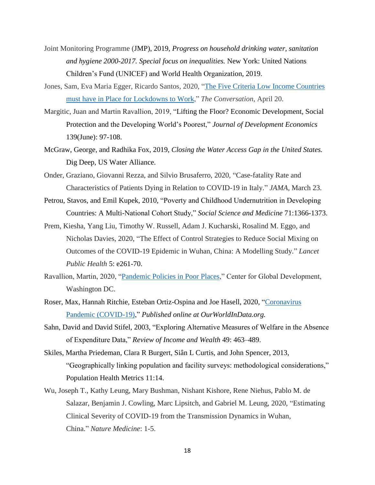- Joint Monitoring Programme (JMP), 2019, *Progress on household drinking water, sanitation and hygiene 2000-2017. Special focus on inequalities.* New York: United Nations Children's Fund (UNICEF) and World Health Organization, 2019.
- Jones, Sam, Eva Maria Egger, Ricardo Santos, 2020, "The Five Criteria Low Income [Countries](https://theconversation.com/the-five-criteria-low-income-countries-must-have-in-place-for-lockdowns-to-work-136263) must have in Place for [Lockdowns](https://theconversation.com/the-five-criteria-low-income-countries-must-have-in-place-for-lockdowns-to-work-136263) to Work," *The Conversation*, April 20.
- Margitic, Juan and Martin Ravallion, 2019, "Lifting the Floor? Economic Development, Social Protection and the Developing World's Poorest," *Journal of Development Economics* 139(June): 97-108.
- McGraw, George, and Radhika Fox, 2019, *Closing the Water Access Gap in the United States.* Dig Deep, US Water Alliance.
- Onder, Graziano, Giovanni Rezza, and Silvio Brusaferro, 2020, "Case-fatality Rate and Characteristics of Patients Dying in Relation to COVID-19 in Italy." *JAMA,* March 23.
- Petrou, Stavos, and Emil Kupek, 2010, "Poverty and Childhood Undernutrition in Developing Countries: A Multi-National Cohort Study," *Social Science and Medicine* 71:1366-1373.
- Prem, Kiesha, Yang Liu, Timothy W. Russell, Adam J. Kucharski, Rosalind M. Eggo, and Nicholas Davies, 2020, "The Effect of Control Strategies to Reduce Social Mixing on Outcomes of the COVID-19 Epidemic in Wuhan, China: A Modelling Study." *Lancet Public Health* 5: e261-70.
- Ravallion, Martin, 2020, ["Pandemic Policies in Poor Places,](https://www.cgdev.org/publication/pandemic-policies-poor-places)" Center for Global Development, Washington DC.
- Roser, Max, Hannah Ritchie, Esteban Ortiz-Ospina and Joe Hasell, 2020, ["Coronavirus](https://ourworldindata.org/coronavirus)  [Pandemic \(COVID-19\),](https://ourworldindata.org/coronavirus)" *Published online at OurWorldInData.org.*
- Sahn, David and David Stifel, 2003, "Exploring Alternative Measures of Welfare in the Absence of Expenditure Data," *Review of Income and Wealth* 49: 463–489.
- Skiles, Martha Priedeman, Clara R Burgert, Siân L Curtis, and John Spencer, 2013, "Geographically linking population and facility surveys: methodological considerations," Population Health Metrics 11:14.
- Wu, Joseph T., Kathy Leung, Mary Bushman, Nishant Kishore, Rene Niehus, Pablo M. de Salazar, Benjamin J. Cowling, Marc Lipsitch, and Gabriel M. Leung, 2020, "Estimating Clinical Severity of COVID-19 from the Transmission Dynamics in Wuhan, China." *Nature Medicine*: 1-5.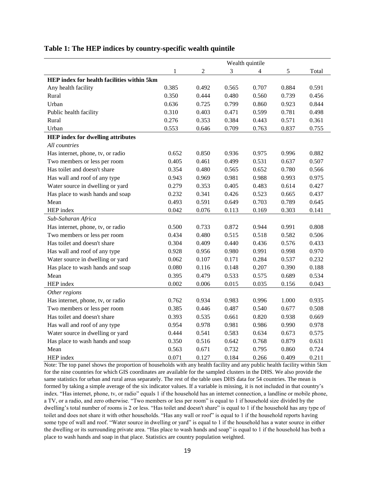|                                            | Wealth quintile |                  |       |                         |       |       |  |
|--------------------------------------------|-----------------|------------------|-------|-------------------------|-------|-------|--|
|                                            | 1               | $\boldsymbol{2}$ | 3     | $\overline{\mathbf{4}}$ | 5     | Total |  |
| HEP index for health facilities within 5km |                 |                  |       |                         |       |       |  |
| Any health facility                        | 0.385           | 0.492            | 0.565 | 0.707                   | 0.884 | 0.591 |  |
| Rural                                      | 0.350           | 0.444            | 0.480 | 0.560                   | 0.739 | 0.456 |  |
| Urban                                      | 0.636           | 0.725            | 0.799 | 0.860                   | 0.923 | 0.844 |  |
| Public health facility                     | 0.310           | 0.403            | 0.471 | 0.599                   | 0.781 | 0.498 |  |
| Rural                                      | 0.276           | 0.353            | 0.384 | 0.443                   | 0.571 | 0.361 |  |
| Urban                                      | 0.553           | 0.646            | 0.709 | 0.763                   | 0.837 | 0.755 |  |
| <b>HEP</b> index for dwelling attributes   |                 |                  |       |                         |       |       |  |
| All countries                              |                 |                  |       |                         |       |       |  |
| Has internet, phone, tv, or radio          | 0.652           | 0.850            | 0.936 | 0.975                   | 0.996 | 0.882 |  |
| Two members or less per room               | 0.405           | 0.461            | 0.499 | 0.531                   | 0.637 | 0.507 |  |
| Has toilet and doesn't share               | 0.354           | 0.480            | 0.565 | 0.652                   | 0.780 | 0.566 |  |
| Has wall and roof of any type              | 0.943           | 0.969            | 0.981 | 0.988                   | 0.993 | 0.975 |  |
| Water source in dwelling or yard           | 0.279           | 0.353            | 0.405 | 0.483                   | 0.614 | 0.427 |  |
| Has place to wash hands and soap           | 0.232           | 0.341            | 0.426 | 0.523                   | 0.665 | 0.437 |  |
| Mean                                       | 0.493           | 0.591            | 0.649 | 0.703                   | 0.789 | 0.645 |  |
| HEP index                                  | 0.042           | 0.076            | 0.113 | 0.169                   | 0.303 | 0.141 |  |
| Sub-Saharan Africa                         |                 |                  |       |                         |       |       |  |
| Has internet, phone, tv, or radio          | 0.500           | 0.733            | 0.872 | 0.944                   | 0.991 | 0.808 |  |
| Two members or less per room               | 0.434           | 0.480            | 0.515 | 0.518                   | 0.582 | 0.506 |  |
| Has toilet and doesn't share               | 0.304           | 0.409            | 0.440 | 0.436                   | 0.576 | 0.433 |  |
| Has wall and roof of any type              | 0.928           | 0.956            | 0.980 | 0.991                   | 0.998 | 0.970 |  |
| Water source in dwelling or yard           | 0.062           | 0.107            | 0.171 | 0.284                   | 0.537 | 0.232 |  |
| Has place to wash hands and soap           | 0.080           | 0.116            | 0.148 | 0.207                   | 0.390 | 0.188 |  |
| Mean                                       | 0.395           | 0.479            | 0.533 | 0.575                   | 0.689 | 0.534 |  |
| HEP index                                  | 0.002           | 0.006            | 0.015 | 0.035                   | 0.156 | 0.043 |  |
| Other regions                              |                 |                  |       |                         |       |       |  |
| Has internet, phone, tv, or radio          | 0.762           | 0.934            | 0.983 | 0.996                   | 1.000 | 0.935 |  |
| Two members or less per room               | 0.385           | 0.446            | 0.487 | 0.540                   | 0.677 | 0.508 |  |
| Has toilet and doesn't share               | 0.393           | 0.535            | 0.661 | 0.820                   | 0.938 | 0.669 |  |
| Has wall and roof of any type              | 0.954           | 0.978            | 0.981 | 0.986                   | 0.990 | 0.978 |  |
| Water source in dwelling or yard           | 0.444           | 0.541            | 0.583 | 0.634                   | 0.673 | 0.575 |  |
| Has place to wash hands and soap           | 0.350           | 0.516            | 0.642 | 0.768                   | 0.879 | 0.631 |  |
| Mean                                       | 0.563           | 0.671            | 0.732 | 0.795                   | 0.860 | 0.724 |  |
| HEP index                                  | 0.071           | 0.127            | 0.184 | 0.266                   | 0.409 | 0.211 |  |

#### **Table 1: The HEP indices by country-specific wealth quintile**

Note: The top panel shows the proportion of households with any health facility and any public health facility within 5km for the nine countries for which GIS coordinates are available for the sampled clusters in the DHS. We also provide the same statistics for urban and rural areas separately. The rest of the table uses DHS data for 54 countries. The mean is formed by taking a simple average of the six indicator values. If a variable is missing, it is not included in that country's index. "Has internet, phone, tv, or radio" equals 1 if the household has an internet connection, a landline or mobile phone, a TV, or a radio, and zero otherwise. "Two members or less per room" is equal to 1 if household size divided by the dwelling's total number of rooms is 2 or less. "Has toilet and doesn't share" is equal to 1 if the household has any type of toilet and does not share it with other households. "Has any wall or roof" is equal to 1 if the household reports having some type of wall and roof. "Water source in dwelling or yard" is equal to 1 if the household has a water source in either the dwelling or its surrounding private area. "Has place to wash hands and soap" is equal to 1 if the household has both a place to wash hands and soap in that place. Statistics are country population weighted.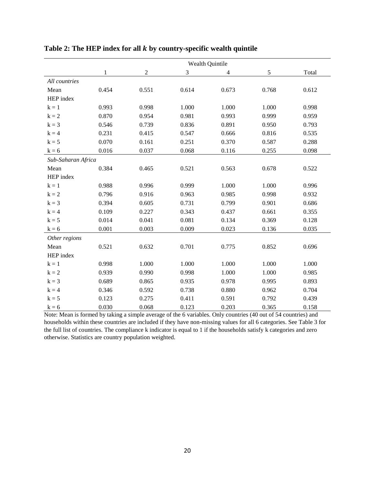|                    | Wealth Quintile |            |       |                |       |       |  |
|--------------------|-----------------|------------|-------|----------------|-------|-------|--|
|                    | $\mathbf 1$     | $\sqrt{2}$ | 3     | $\overline{4}$ | 5     | Total |  |
| All countries      |                 |            |       |                |       |       |  |
| Mean               | 0.454           | 0.551      | 0.614 | 0.673          | 0.768 | 0.612 |  |
| HEP index          |                 |            |       |                |       |       |  |
| $k = 1$            | 0.993           | 0.998      | 1.000 | 1.000          | 1.000 | 0.998 |  |
| $k = 2$            | 0.870           | 0.954      | 0.981 | 0.993          | 0.999 | 0.959 |  |
| $k = 3$            | 0.546           | 0.739      | 0.836 | 0.891          | 0.950 | 0.793 |  |
| $k = 4$            | 0.231           | 0.415      | 0.547 | 0.666          | 0.816 | 0.535 |  |
| $\mathbf{k} = 5$   | 0.070           | 0.161      | 0.251 | 0.370          | 0.587 | 0.288 |  |
| $\mathbf{k} = 6$   | 0.016           | 0.037      | 0.068 | 0.116          | 0.255 | 0.098 |  |
| Sub-Saharan Africa |                 |            |       |                |       |       |  |
| Mean               | 0.384           | 0.465      | 0.521 | 0.563          | 0.678 | 0.522 |  |
| HEP index          |                 |            |       |                |       |       |  |
| $k = 1$            | 0.988           | 0.996      | 0.999 | 1.000          | 1.000 | 0.996 |  |
| $k = 2$            | 0.796           | 0.916      | 0.963 | 0.985          | 0.998 | 0.932 |  |
| $k = 3$            | 0.394           | 0.605      | 0.731 | 0.799          | 0.901 | 0.686 |  |
| $k = 4$            | 0.109           | 0.227      | 0.343 | 0.437          | 0.661 | 0.355 |  |
| $k = 5$            | 0.014           | 0.041      | 0.081 | 0.134          | 0.369 | 0.128 |  |
| $k = 6$            | 0.001           | 0.003      | 0.009 | 0.023          | 0.136 | 0.035 |  |
| Other regions      |                 |            |       |                |       |       |  |
| Mean               | 0.521           | 0.632      | 0.701 | 0.775          | 0.852 | 0.696 |  |
| HEP index          |                 |            |       |                |       |       |  |
| $k = 1$            | 0.998           | 1.000      | 1.000 | 1.000          | 1.000 | 1.000 |  |
| $k = 2$            | 0.939           | 0.990      | 0.998 | 1.000          | 1.000 | 0.985 |  |
| $k = 3$            | 0.689           | 0.865      | 0.935 | 0.978          | 0.995 | 0.893 |  |
| $k = 4$            | 0.346           | 0.592      | 0.738 | 0.880          | 0.962 | 0.704 |  |
| $k = 5$            | 0.123           | 0.275      | 0.411 | 0.591          | 0.792 | 0.439 |  |
| $k = 6$            | 0.030           | 0.068      | 0.123 | 0.203          | 0.365 | 0.158 |  |

Table 2: The HEP index for all *k* by country-specific wealth quintile

Note: Mean is formed by taking a simple average of the 6 variables. Only countries (40 out of 54 countries) and households within these countries are included if they have non-missing values for all 6 categories. See Table 3 for the full list of countries. The compliance k indicator is equal to 1 if the households satisfy k categories and zero otherwise. Statistics are country population weighted.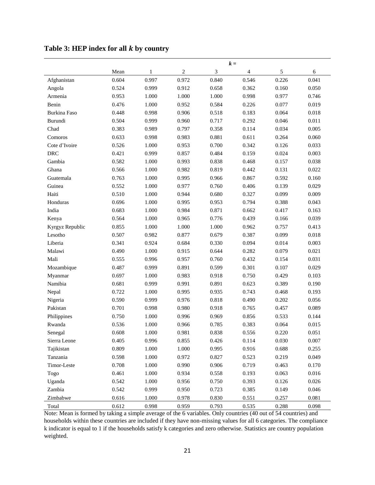|                 | $k =$ |              |              |       |                          |            |       |
|-----------------|-------|--------------|--------------|-------|--------------------------|------------|-------|
|                 | Mean  | $\mathbf{1}$ | $\mathbf{2}$ | 3     | $\overline{\mathcal{A}}$ | $\sqrt{5}$ | $6\,$ |
| Afghanistan     | 0.604 | 0.997        | 0.972        | 0.840 | 0.546                    | 0.226      | 0.041 |
| Angola          | 0.524 | 0.999        | 0.912        | 0.658 | 0.362                    | 0.160      | 0.050 |
| Armenia         | 0.953 | 1.000        | 1.000        | 1.000 | 0.998                    | 0.977      | 0.746 |
| Benin           | 0.476 | 1.000        | 0.952        | 0.584 | 0.226                    | 0.077      | 0.019 |
| Burkina Faso    | 0.448 | 0.998        | 0.906        | 0.518 | 0.183                    | 0.064      | 0.018 |
| Burundi         | 0.504 | 0.999        | 0.960        | 0.717 | 0.292                    | 0.046      | 0.011 |
| Chad            | 0.383 | 0.989        | 0.797        | 0.358 | 0.114                    | 0.034      | 0.005 |
| Comoros         | 0.633 | 0.998        | 0.983        | 0.881 | 0.611                    | 0.264      | 0.060 |
| Cote d'Ivoire   | 0.526 | 1.000        | 0.953        | 0.700 | 0.342                    | 0.126      | 0.033 |
| DRC             | 0.421 | 0.999        | 0.857        | 0.484 | 0.159                    | 0.024      | 0.003 |
| Gambia          | 0.582 | 1.000        | 0.993        | 0.838 | 0.468                    | 0.157      | 0.038 |
| Ghana           | 0.566 | 1.000        | 0.982        | 0.819 | 0.442                    | 0.131      | 0.022 |
| Guatemala       | 0.763 | 1.000        | 0.995        | 0.966 | 0.867                    | 0.592      | 0.160 |
| Guinea          | 0.552 | 1.000        | 0.977        | 0.760 | 0.406                    | 0.139      | 0.029 |
| Haiti           | 0.510 | 1.000        | 0.944        | 0.680 | 0.327                    | 0.099      | 0.009 |
| Honduras        | 0.696 | 1.000        | 0.995        | 0.953 | 0.794                    | 0.388      | 0.043 |
| India           | 0.683 | 1.000        | 0.984        | 0.871 | 0.662                    | 0.417      | 0.163 |
| Kenya           | 0.564 | 1.000        | 0.965        | 0.776 | 0.439                    | 0.166      | 0.039 |
| Kyrgyz Republic | 0.855 | 1.000        | 1.000        | 1.000 | 0.962                    | 0.757      | 0.413 |
| Lesotho         | 0.507 | 0.982        | 0.877        | 0.679 | 0.387                    | 0.099      | 0.018 |
| Liberia         | 0.341 | 0.924        | 0.684        | 0.330 | 0.094                    | 0.014      | 0.003 |
| Malawi          | 0.490 | 1.000        | 0.915        | 0.644 | 0.282                    | 0.079      | 0.021 |
| Mali            | 0.555 | 0.996        | 0.957        | 0.760 | 0.432                    | 0.154      | 0.031 |
| Mozambique      | 0.487 | 0.999        | 0.891        | 0.599 | 0.301                    | 0.107      | 0.029 |
| Myanmar         | 0.697 | 1.000        | 0.983        | 0.918 | 0.750                    | 0.429      | 0.103 |
| Namibia         | 0.681 | 0.999        | 0.991        | 0.891 | 0.623                    | 0.389      | 0.190 |
| Nepal           | 0.722 | 1.000        | 0.995        | 0.935 | 0.743                    | 0.468      | 0.193 |
| Nigeria         | 0.590 | 0.999        | 0.976        | 0.818 | 0.490                    | 0.202      | 0.056 |
| Pakistan        | 0.701 | 0.998        | 0.980        | 0.918 | 0.765                    | 0.457      | 0.089 |
| Philippines     | 0.750 | 1.000        | 0.996        | 0.969 | 0.856                    | 0.533      | 0.144 |
| Rwanda          | 0.536 | 1.000        | 0.966        | 0.785 | 0.383                    | 0.064      | 0.015 |
| Senegal         | 0.608 | 1.000        | 0.981        | 0.838 | 0.556                    | 0.220      | 0.051 |
| Sierra Leone    | 0.405 | 0.996        | 0.855        | 0.426 | 0.114                    | 0.030      | 0.007 |
| Tajikistan      | 0.809 | 1.000        | 1.000        | 0.995 | 0.916                    | 0.688      | 0.255 |
| Tanzania        | 0.598 | 1.000        | 0.972        | 0.827 | 0.523                    | 0.219      | 0.049 |
| Timor-Leste     | 0.708 | 1.000        | 0.990        | 0.906 | 0.719                    | 0.463      | 0.170 |
| Togo            | 0.461 | 1.000        | 0.934        | 0.558 | 0.193                    | 0.063      | 0.016 |
| Uganda          | 0.542 | 1.000        | 0.956        | 0.750 | 0.393                    | 0.126      | 0.026 |
| Zambia          | 0.542 | 0.999        | 0.950        | 0.723 | 0.385                    | 0.149      | 0.046 |
| Zimbabwe        | 0.616 | 1.000        | 0.978        | 0.830 | 0.551                    | 0.257      | 0.081 |
| Total           | 0.612 | 0.998        | 0.959        | 0.793 | 0.535                    | 0.288      | 0.098 |

# Table 3: HEP index for all *k* by country

Note: Mean is formed by taking a simple average of the 6 variables. Only countries (40 out of 54 countries) and households within these countries are included if they have non-missing values for all 6 categories. The compliance k indicator is equal to 1 if the households satisfy k categories and zero otherwise. Statistics are country population weighted.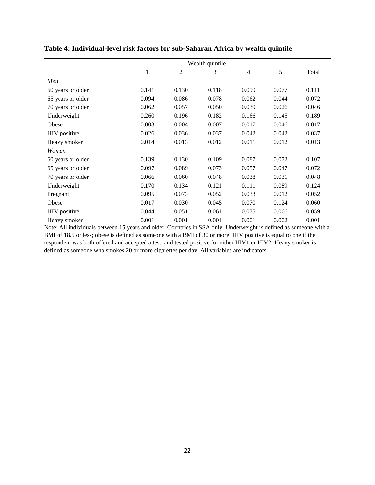|                   | Wealth quintile |                |       |       |       |       |
|-------------------|-----------------|----------------|-------|-------|-------|-------|
|                   | $\mathbf{1}$    | $\mathfrak{2}$ | 3     | 4     | 5     | Total |
| Men               |                 |                |       |       |       |       |
| 60 years or older | 0.141           | 0.130          | 0.118 | 0.099 | 0.077 | 0.111 |
| 65 years or older | 0.094           | 0.086          | 0.078 | 0.062 | 0.044 | 0.072 |
| 70 years or older | 0.062           | 0.057          | 0.050 | 0.039 | 0.026 | 0.046 |
| Underweight       | 0.260           | 0.196          | 0.182 | 0.166 | 0.145 | 0.189 |
| Obese             | 0.003           | 0.004          | 0.007 | 0.017 | 0.046 | 0.017 |
| HIV positive      | 0.026           | 0.036          | 0.037 | 0.042 | 0.042 | 0.037 |
| Heavy smoker      | 0.014           | 0.013          | 0.012 | 0.011 | 0.012 | 0.013 |
| Women             |                 |                |       |       |       |       |
| 60 years or older | 0.139           | 0.130          | 0.109 | 0.087 | 0.072 | 0.107 |
| 65 years or older | 0.097           | 0.089          | 0.073 | 0.057 | 0.047 | 0.072 |
| 70 years or older | 0.066           | 0.060          | 0.048 | 0.038 | 0.031 | 0.048 |
| Underweight       | 0.170           | 0.134          | 0.121 | 0.111 | 0.089 | 0.124 |
| Pregnant          | 0.095           | 0.073          | 0.052 | 0.033 | 0.012 | 0.052 |
| Obese             | 0.017           | 0.030          | 0.045 | 0.070 | 0.124 | 0.060 |
| HIV positive      | 0.044           | 0.051          | 0.061 | 0.075 | 0.066 | 0.059 |
| Heavy smoker      | 0.001           | 0.001          | 0.001 | 0.001 | 0.002 | 0.001 |

# **Table 4: Individual-level risk factors for sub-Saharan Africa by wealth quintile**

Note: All individuals between 15 years and older. Countries in SSA only. Underweight is defined as someone with a BMI of 18.5 or less; obese is defined as someone with a BMI of 30 or more. HIV positive is equal to one if the respondent was both offered and accepted a test, and tested positive for either HIV1 or HIV2. Heavy smoker is defined as someone who smokes 20 or more cigarettes per day. All variables are indicators.